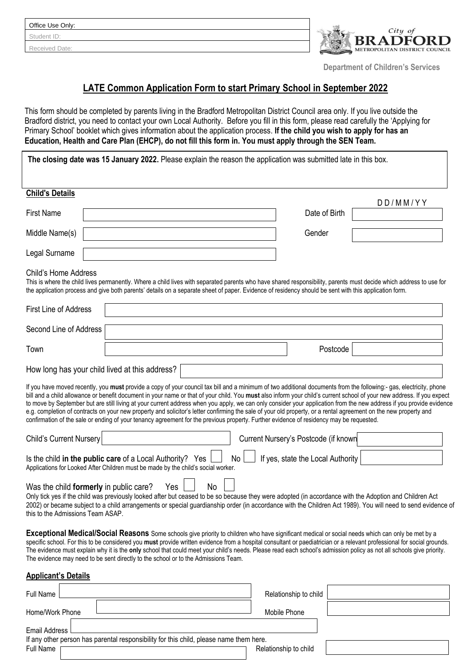| Office Use Only: |  |  |  |  |
|------------------|--|--|--|--|
| Student ID:      |  |  |  |  |
| Received Date:   |  |  |  |  |



 **Department of Children's Services**

# **LATE Common Application Form to start Primary School in September 2022**

This form should be completed by parents living in the Bradford Metropolitan District Council area only. If you live outside the Bradford district, you need to contact your own Local Authority. Before you fill in this form, please read carefully the 'Applying for Primary School' booklet which gives information about the application process. **If the child you wish to apply for has an Education, Health and Care Plan (EHCP), do not fill this form in. You must apply through the SEN Team.**

|                                                                             | The closing date was 15 January 2022. Please explain the reason the application was submitted late in this box.                                                                                                                                                                                                                                                                                                                                                                                                                                                                                                                                                                                                                                                                                                                      |                                      |                             |
|-----------------------------------------------------------------------------|--------------------------------------------------------------------------------------------------------------------------------------------------------------------------------------------------------------------------------------------------------------------------------------------------------------------------------------------------------------------------------------------------------------------------------------------------------------------------------------------------------------------------------------------------------------------------------------------------------------------------------------------------------------------------------------------------------------------------------------------------------------------------------------------------------------------------------------|--------------------------------------|-----------------------------|
|                                                                             |                                                                                                                                                                                                                                                                                                                                                                                                                                                                                                                                                                                                                                                                                                                                                                                                                                      |                                      |                             |
| <b>Child's Details</b>                                                      |                                                                                                                                                                                                                                                                                                                                                                                                                                                                                                                                                                                                                                                                                                                                                                                                                                      |                                      |                             |
| <b>First Name</b>                                                           |                                                                                                                                                                                                                                                                                                                                                                                                                                                                                                                                                                                                                                                                                                                                                                                                                                      | Date of Birth                        | $D$ $D$ / $M$ $M$ / $Y$ $Y$ |
| Middle Name(s)                                                              |                                                                                                                                                                                                                                                                                                                                                                                                                                                                                                                                                                                                                                                                                                                                                                                                                                      | Gender                               |                             |
| Legal Surname                                                               |                                                                                                                                                                                                                                                                                                                                                                                                                                                                                                                                                                                                                                                                                                                                                                                                                                      |                                      |                             |
| Child's Home Address                                                        | This is where the child lives permanently. Where a child lives with separated parents who have shared responsibility, parents must decide which address to use for<br>the application process and give both parents' details on a separate sheet of paper. Evidence of residency should be sent with this application form.                                                                                                                                                                                                                                                                                                                                                                                                                                                                                                          |                                      |                             |
| <b>First Line of Address</b>                                                |                                                                                                                                                                                                                                                                                                                                                                                                                                                                                                                                                                                                                                                                                                                                                                                                                                      |                                      |                             |
| Second Line of Address                                                      |                                                                                                                                                                                                                                                                                                                                                                                                                                                                                                                                                                                                                                                                                                                                                                                                                                      |                                      |                             |
| Town                                                                        |                                                                                                                                                                                                                                                                                                                                                                                                                                                                                                                                                                                                                                                                                                                                                                                                                                      | Postcode                             |                             |
|                                                                             | How long has your child lived at this address?                                                                                                                                                                                                                                                                                                                                                                                                                                                                                                                                                                                                                                                                                                                                                                                       |                                      |                             |
|                                                                             | If you have moved recently, you must provide a copy of your council tax bill and a minimum of two additional documents from the following:- gas, electricity, phone<br>bill and a child allowance or benefit document in your name or that of your child. You must also inform your child's current school of your new address. If you expect<br>to move by September but are still living at your current address when you apply, we can only consider your application from the new address if you provide evidence<br>e.g. completion of contracts on your new property and solicitor's letter confirming the sale of your old property, or a rental agreement on the new property and<br>confirmation of the sale or ending of your tenancy agreement for the previous property. Further evidence of residency may be requested. |                                      |                             |
| Child's Current Nursery                                                     |                                                                                                                                                                                                                                                                                                                                                                                                                                                                                                                                                                                                                                                                                                                                                                                                                                      | Current Nursery's Postcode (if known |                             |
|                                                                             | Is the child in the public care of a Local Authority? Yes<br>No<br>Applications for Looked After Children must be made by the child's social worker.                                                                                                                                                                                                                                                                                                                                                                                                                                                                                                                                                                                                                                                                                 | If yes, state the Local Authority    |                             |
| Was the child formerly in public care?<br>this to the Admissions Team ASAP. | No<br>Yes<br>Only tick yes if the child was previously looked after but ceased to be so because they were adopted (in accordance with the Adoption and Children Act<br>2002) or became subject to a child arrangements or special guardianship order (in accordance with the Children Act 1989). You will need to send evidence of                                                                                                                                                                                                                                                                                                                                                                                                                                                                                                   |                                      |                             |
|                                                                             | Exceptional Medical/Social Reasons Some schools give priority to children who have significant medical or social needs which can only be met by a<br>specific school. For this to be considered you must provide written evidence from a hospital consultant or paediatrician or a relevant professional for social grounds.<br>The evidence must explain why it is the only school that could meet your child's needs. Please read each school's admission policy as not all schools give priority.<br>The evidence may need to be sent directly to the school or to the Admissions Team.                                                                                                                                                                                                                                           |                                      |                             |
| <b>Applicant's Details</b>                                                  |                                                                                                                                                                                                                                                                                                                                                                                                                                                                                                                                                                                                                                                                                                                                                                                                                                      |                                      |                             |
| Full Name                                                                   |                                                                                                                                                                                                                                                                                                                                                                                                                                                                                                                                                                                                                                                                                                                                                                                                                                      | Relationship to child                |                             |

# Home/Work Phone **Mobile Phone** Mobile Phone Email Address If any other person has parental responsibility for this child, please name them here. Full Name